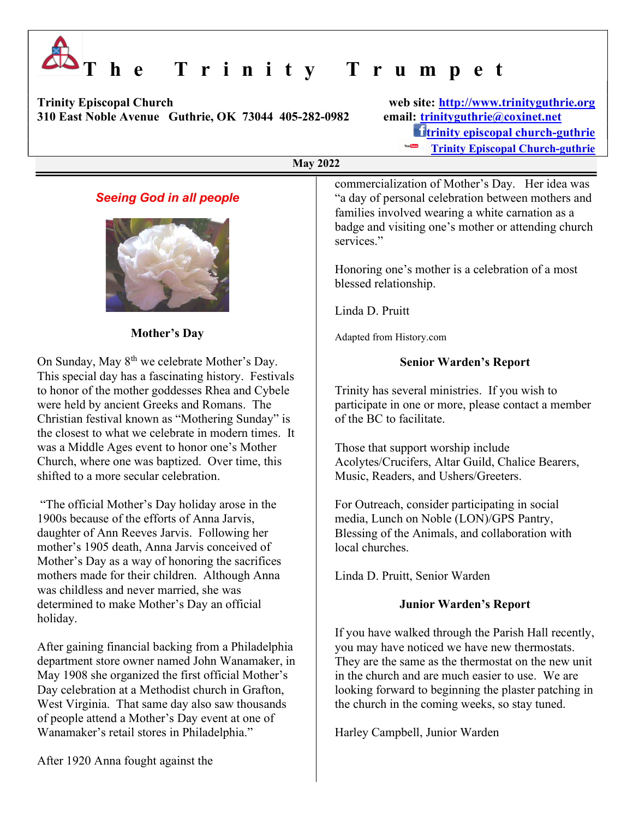# T h e T r i n i t y T r u m p e t

Trinity Episcopal Church web site: http://www.trinityguthrie.org 310 East Noble Avenue Guthrie, OK 73044 405-282-0982 email: trinityguthrie@coxinet.net

 $\mathbf{t}$ trinity episcopal church-guthrie Trinity Episcopal Church-guthrie

#### May 2022

## Seeing God in all people



#### Mother's Day

On Sunday, May  $8^{th}$  we celebrate Mother's Day. This special day has a fascinating history. Festivals to honor of the mother goddesses Rhea and Cybele were held by ancient Greeks and Romans. The Christian festival known as "Mothering Sunday" is the closest to what we celebrate in modern times. It was a Middle Ages event to honor one's Mother Church, where one was baptized. Over time, this shifted to a more secular celebration.

 "The official Mother's Day holiday arose in the 1900s because of the efforts of Anna Jarvis, daughter of Ann Reeves Jarvis. Following her mother's 1905 death, Anna Jarvis conceived of Mother's Day as a way of honoring the sacrifices mothers made for their children. Although Anna was childless and never married, she was determined to make Mother's Day an official holiday.

After gaining financial backing from a Philadelphia department store owner named John Wanamaker, in May 1908 she organized the first official Mother's Day celebration at a Methodist church in Grafton, West Virginia. That same day also saw thousands of people attend a Mother's Day event at one of Wanamaker's retail stores in Philadelphia."

commercialization of Mother's Day. Her idea was "a day of personal celebration between mothers and families involved wearing a white carnation as a badge and visiting one's mother or attending church services."

Honoring one's mother is a celebration of a most blessed relationship.

Linda D. Pruitt

Adapted from History.com

#### Senior Warden's Report

Trinity has several ministries. If you wish to participate in one or more, please contact a member of the BC to facilitate.

Those that support worship include Acolytes/Crucifers, Altar Guild, Chalice Bearers, Music, Readers, and Ushers/Greeters.

For Outreach, consider participating in social media, Lunch on Noble (LON)/GPS Pantry, Blessing of the Animals, and collaboration with local churches.

Linda D. Pruitt, Senior Warden

### Junior Warden's Report

If you have walked through the Parish Hall recently, you may have noticed we have new thermostats. They are the same as the thermostat on the new unit in the church and are much easier to use. We are looking forward to beginning the plaster patching in the church in the coming weeks, so stay tuned.

Harley Campbell, Junior Warden

After 1920 Anna fought against the